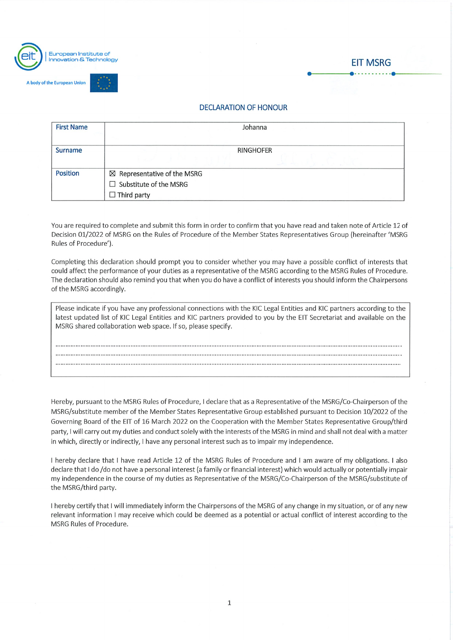

dy of the European Union



## DECLARATION OF HONOUR

| <b>First Name</b> | Johanna                      |  |  |  |  |  |  |  |  |
|-------------------|------------------------------|--|--|--|--|--|--|--|--|
| Surname           | <b>RINGHOFER</b>             |  |  |  |  |  |  |  |  |
| <b>Position</b>   | ⊠ Representative of the MSRG |  |  |  |  |  |  |  |  |
|                   | Substitute of the MSRG<br>П  |  |  |  |  |  |  |  |  |
|                   | $\Box$ Third party           |  |  |  |  |  |  |  |  |

You are required to complete and submit this form in order to confirm that you have read and taken note of Article 12 of Decision 01/2022 of MSRG on the Rules of Procedure of the Member States Representatives Group (hereinafter 'MSRG Rules of Procedure').

Completing this declaration should prompt you to consider whether you may have a possible conflict of interests that could affect the performance of your duties as a representative of the MSRG according to the MSRG Rules of Procedure. The declaration should also remind you that when you do have a conflict of interests you should inform the Chairpersons of the MSRG accordingly.

| Please indicate if you have any professional connections with the KIC Legal Entities and KIC partners according to the |
|------------------------------------------------------------------------------------------------------------------------|
| latest updated list of KIC Legal Entities and KIC partners provided to you by the EIT Secretariat and available on the |
| MSRG shared collaboration web space. If so, please specify.                                                            |
|                                                                                                                        |

Hereby, pursuant to the MSRG Rules of Procedure, I declare that as a Representative of the MSRG/Co-Chairperson of the MSRG/substitute member of the Member States Representative Group established pursuant to Decision 10/2022 of the Governing Board ofthe EIT of 16 March 2022 on the Cooperation with the Member States Representative Group/third party, I will carry out my duties and conduct solely with the interests of the MSRG in mind and shall not deal with a matter in which, directly or indirectly, l have any personal interest such äs to impair my independence.

l hereby declare that l have read Article 12 of the MSRG Rules of Procedure and l am aware of my obligations. l also declare that I do /do not have a personal interest (a family or financial interest) which would actually or potentially impair my independence in the course of my duties as Representative of the MSRG/Co-Chairperson of the MSRG/substitute of the MSRG/third party.

l hereby certify that l will immediately inform the Chairpersons of the MSRG of any change in my Situation, or of any new relevant information l may receive which could be deemed äs a potential or actual conflict of interest according to the MSRG Rules of Procedure.